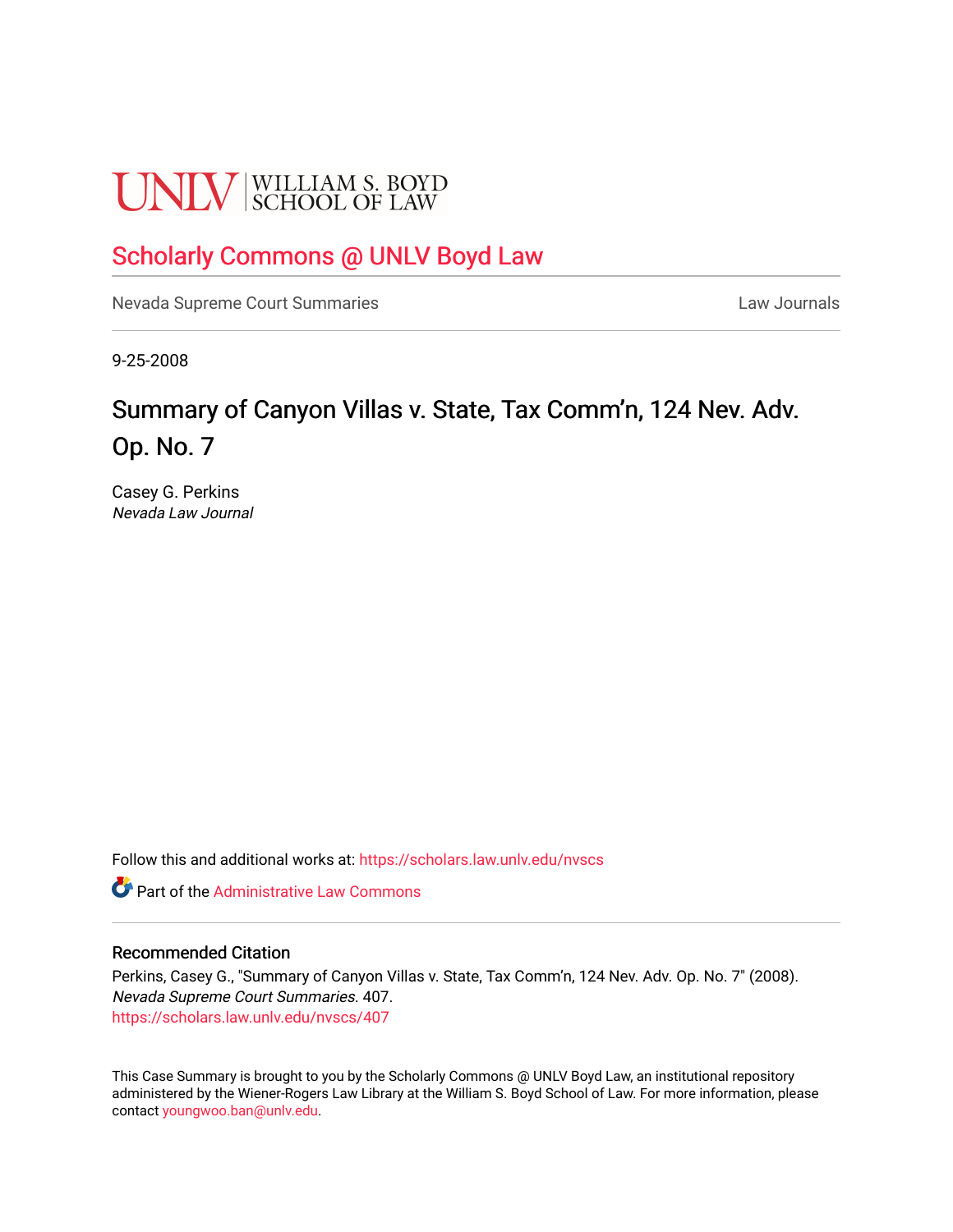# **UNLV** SCHOOL OF LAW

# [Scholarly Commons @ UNLV Boyd Law](https://scholars.law.unlv.edu/)

[Nevada Supreme Court Summaries](https://scholars.law.unlv.edu/nvscs) **Law Journals** Law Journals

9-25-2008

# Summary of Canyon Villas v. State, Tax Comm'n, 124 Nev. Adv. Op. No. 7

Casey G. Perkins Nevada Law Journal

Follow this and additional works at: [https://scholars.law.unlv.edu/nvscs](https://scholars.law.unlv.edu/nvscs?utm_source=scholars.law.unlv.edu%2Fnvscs%2F407&utm_medium=PDF&utm_campaign=PDFCoverPages)

**C** Part of the Administrative Law Commons

#### Recommended Citation

Perkins, Casey G., "Summary of Canyon Villas v. State, Tax Comm'n, 124 Nev. Adv. Op. No. 7" (2008). Nevada Supreme Court Summaries. 407. [https://scholars.law.unlv.edu/nvscs/407](https://scholars.law.unlv.edu/nvscs/407?utm_source=scholars.law.unlv.edu%2Fnvscs%2F407&utm_medium=PDF&utm_campaign=PDFCoverPages)

This Case Summary is brought to you by the Scholarly Commons @ UNLV Boyd Law, an institutional repository administered by the Wiener-Rogers Law Library at the William S. Boyd School of Law. For more information, please contact [youngwoo.ban@unlv.edu](mailto:youngwoo.ban@unlv.edu).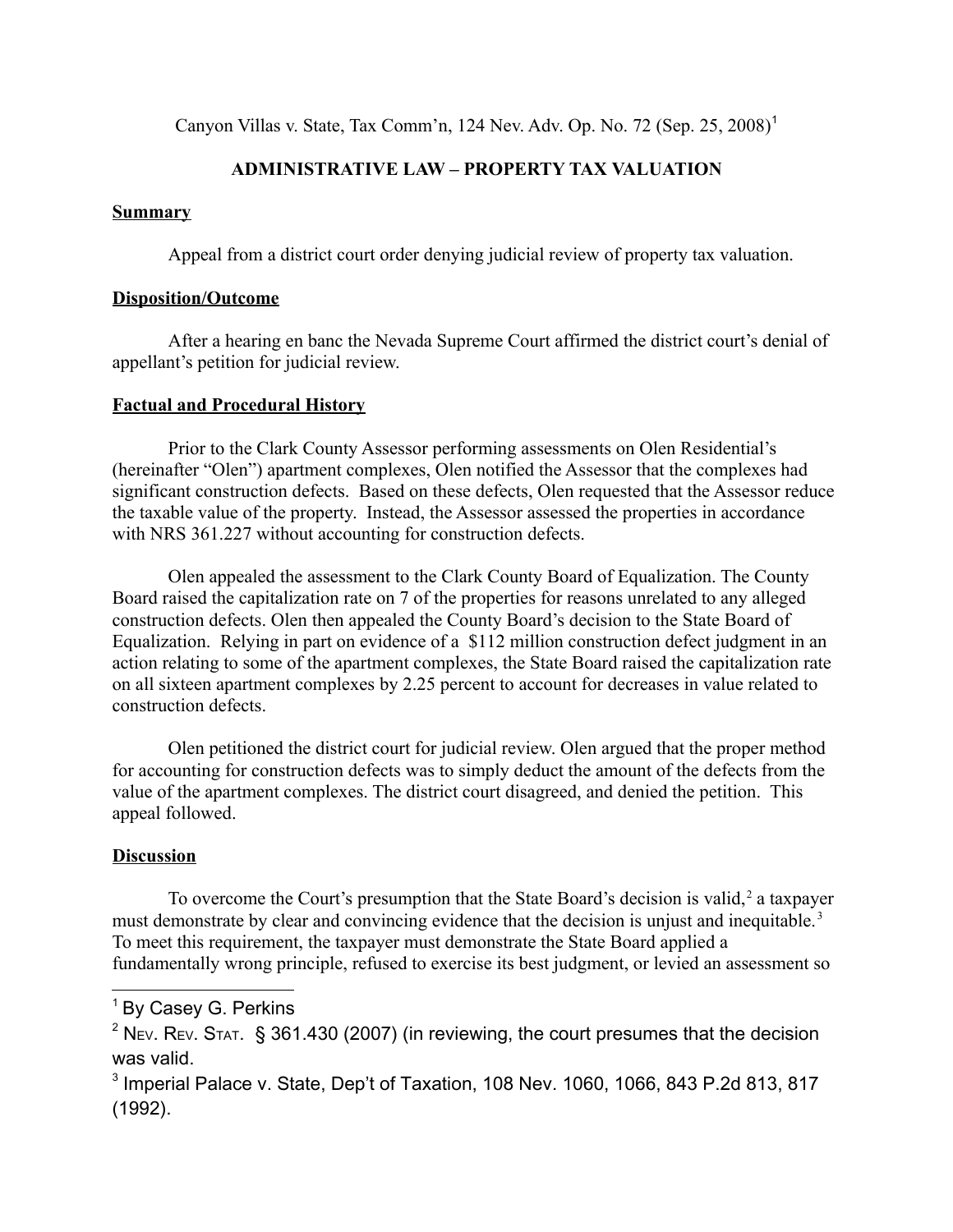Canyon Villas v. State, Tax Comm'n, [1](#page-1-0)24 Nev. Adv. Op. No. 72 (Sep. 25, 2008)<sup>1</sup>

## **ADMINISTRATIVE LAW – PROPERTY TAX VALUATION**

### **Summary**

Appeal from a district court order denying judicial review of property tax valuation.

#### **Disposition/Outcome**

After a hearing en banc the Nevada Supreme Court affirmed the district court's denial of appellant's petition for judicial review.

### **Factual and Procedural History**

Prior to the Clark County Assessor performing assessments on Olen Residential's (hereinafter "Olen") apartment complexes, Olen notified the Assessor that the complexes had significant construction defects. Based on these defects, Olen requested that the Assessor reduce the taxable value of the property. Instead, the Assessor assessed the properties in accordance with NRS 361.227 without accounting for construction defects.

Olen appealed the assessment to the Clark County Board of Equalization. The County Board raised the capitalization rate on 7 of the properties for reasons unrelated to any alleged construction defects. Olen then appealed the County Board's decision to the State Board of Equalization. Relying in part on evidence of a \$112 million construction defect judgment in an action relating to some of the apartment complexes, the State Board raised the capitalization rate on all sixteen apartment complexes by 2.25 percent to account for decreases in value related to construction defects.

Olen petitioned the district court for judicial review. Olen argued that the proper method for accounting for construction defects was to simply deduct the amount of the defects from the value of the apartment complexes. The district court disagreed, and denied the petition. This appeal followed.

## **Discussion**

To overcome the Court's presumption that the State Board's decision is valid,  $2$  a taxpayer must demonstrate by clear and convincing evidence that the decision is unjust and inequitable.<sup>[3](#page-1-2)</sup> To meet this requirement, the taxpayer must demonstrate the State Board applied a fundamentally wrong principle, refused to exercise its best judgment, or levied an assessment so

<span id="page-1-0"></span><sup>&</sup>lt;sup>1</sup> By Casey G. Perkins

<span id="page-1-1"></span> $2$  N<sub>EV</sub>. R<sub>EV</sub>. S<sub>TAT</sub>. § 361.430 (2007) (in reviewing, the court presumes that the decision was valid.

<span id="page-1-2"></span> $^3$  Imperial Palace v. State, Dep't of Taxation, 108 Nev. 1060, 1066, 843 P.2d 813, 817 (1992).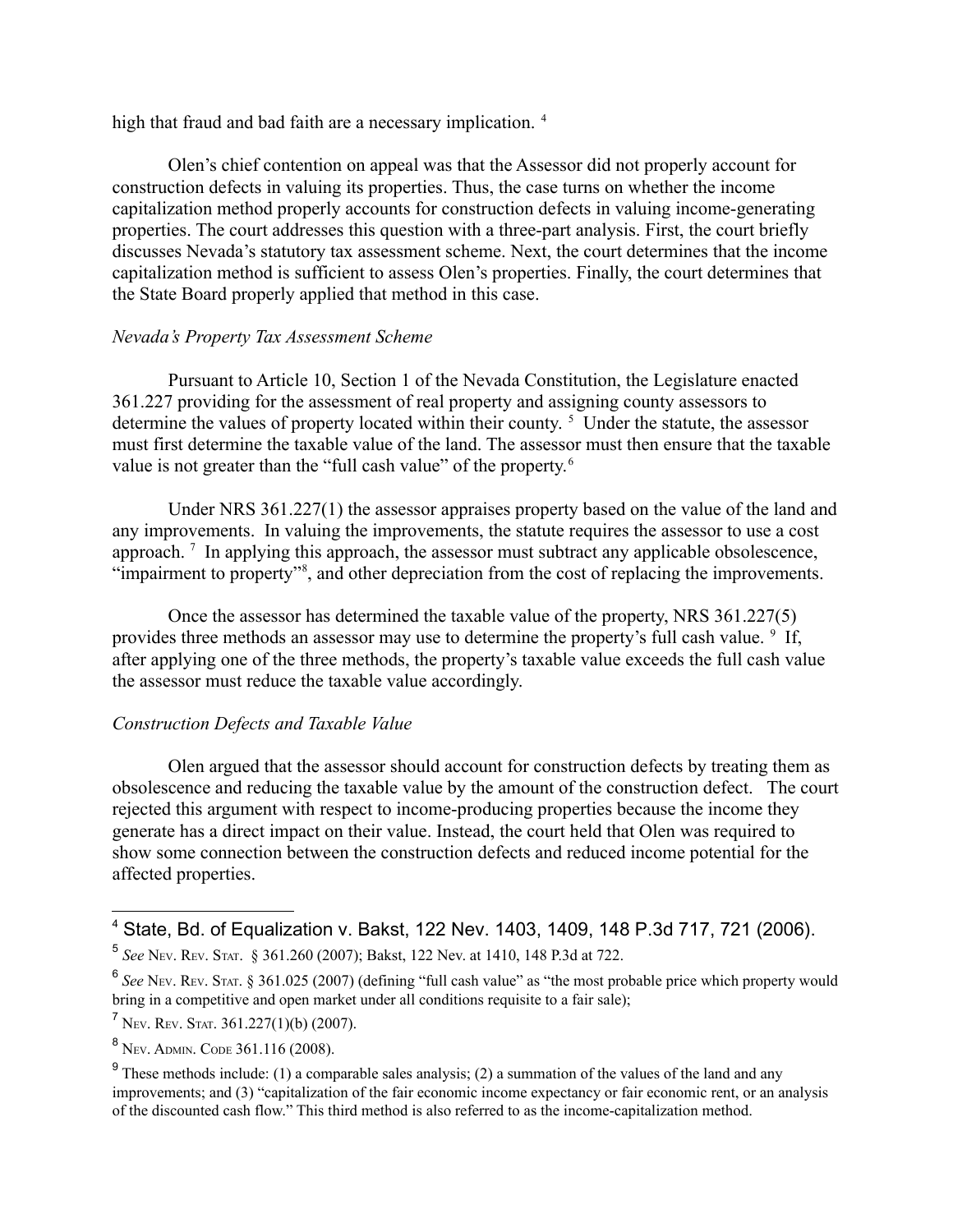high that fraud and bad faith are a necessary implication.<sup>[4](#page-2-0)</sup>

Olen's chief contention on appeal was that the Assessor did not properly account for construction defects in valuing its properties. Thus, the case turns on whether the income capitalization method properly accounts for construction defects in valuing income-generating properties. The court addresses this question with a three-part analysis. First, the court briefly discusses Nevada's statutory tax assessment scheme. Next, the court determines that the income capitalization method is sufficient to assess Olen's properties. Finally, the court determines that the State Board properly applied that method in this case.

### *Nevada's Property Tax Assessment Scheme*

Pursuant to Article 10, Section 1 of the Nevada Constitution, the Legislature enacted 361.227 providing for the assessment of real property and assigning county assessors to determine the values of property located within their county.<sup>[5](#page-2-1)</sup> Under the statute, the assessor must first determine the taxable value of the land. The assessor must then ensure that the taxable value is not greater than the "full cash value" of the property.<sup>[6](#page-2-2)</sup>

Under NRS 361.227(1) the assessor appraises property based on the value of the land and any improvements. In valuing the improvements, the statute requires the assessor to use a cost approach.<sup>[7](#page-2-3)</sup> In applying this approach, the assessor must subtract any applicable obsolescence, "impairment to property"<sup>[8](#page-2-4)</sup>, and other depreciation from the cost of replacing the improvements.

Once the assessor has determined the taxable value of the property, NRS 361.227(5) provides three methods an assessor may use to determine the property's full cash value. <sup>[9](#page-2-5)</sup> If, after applying one of the three methods, the property's taxable value exceeds the full cash value the assessor must reduce the taxable value accordingly.

### *Construction Defects and Taxable Value*

Olen argued that the assessor should account for construction defects by treating them as obsolescence and reducing the taxable value by the amount of the construction defect. The court rejected this argument with respect to income-producing properties because the income they generate has a direct impact on their value. Instead, the court held that Olen was required to show some connection between the construction defects and reduced income potential for the affected properties.

<span id="page-2-0"></span><sup>4</sup> State, Bd. of Equalization v. Bakst, 122 Nev. 1403, 1409, 148 P.3d 717, 721 (2006).

<span id="page-2-1"></span><sup>5</sup> *See* NEV. REV. STAT. § 361.260 (2007); Bakst, 122 Nev. at 1410, 148 P.3d at 722.

<span id="page-2-2"></span><sup>6</sup> *See* NEV. REV. STAT. § 361.025 (2007) (defining "full cash value" as "the most probable price which property would bring in a competitive and open market under all conditions requisite to a fair sale);

<span id="page-2-3"></span> $7$  Nev. Rev. Stat. 361.227(1)(b) (2007).

<span id="page-2-4"></span><sup>8</sup> NEV. ADMIN. CODE 361.116 (2008).

<span id="page-2-5"></span><sup>&</sup>lt;sup>9</sup> These methods include: (1) a comparable sales analysis; (2) a summation of the values of the land and any improvements; and (3) "capitalization of the fair economic income expectancy or fair economic rent, or an analysis of the discounted cash flow." This third method is also referred to as the income-capitalization method.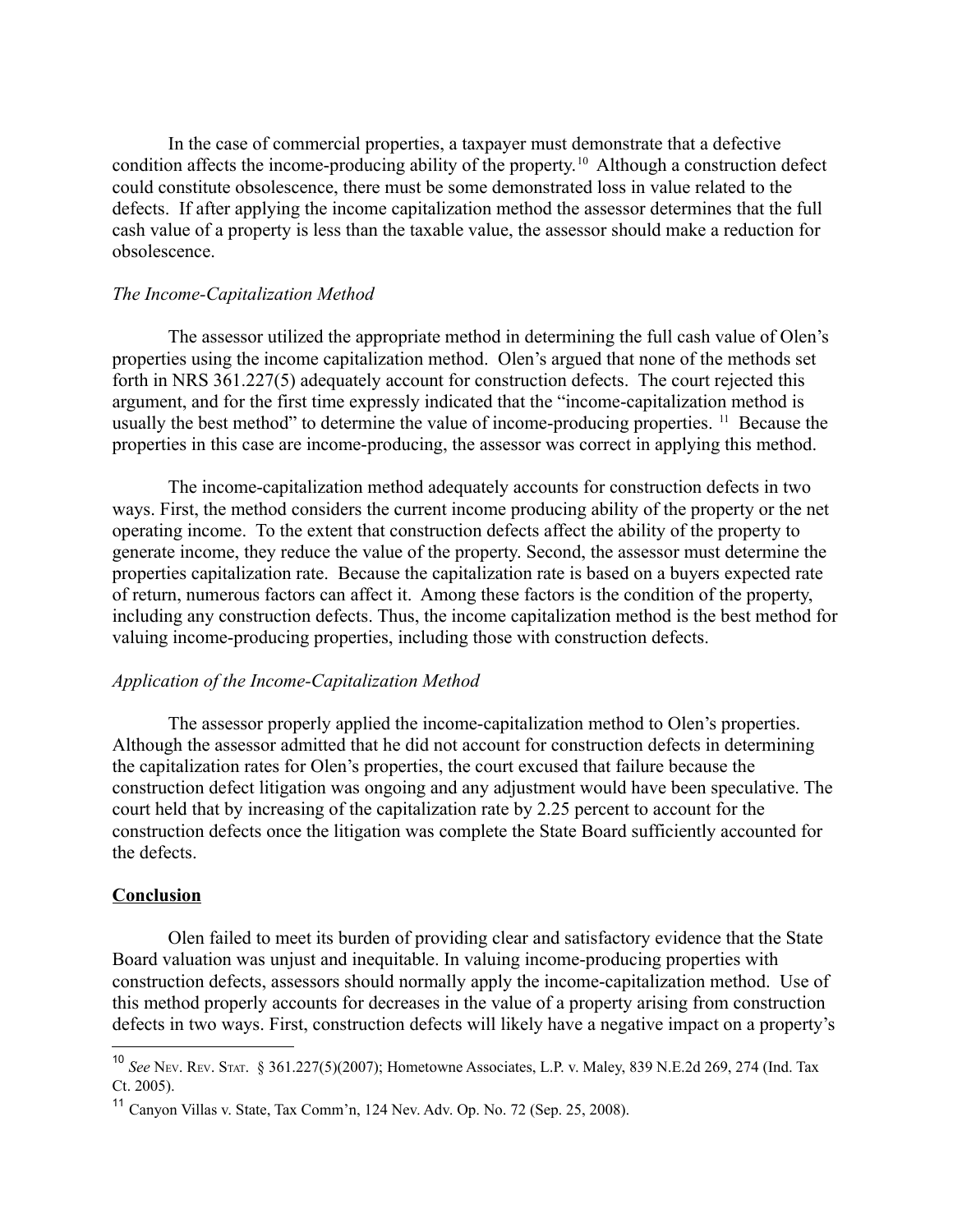In the case of commercial properties, a taxpayer must demonstrate that a defective condition affects the income-producing ability of the property.<sup>[10](#page-3-0)</sup> Although a construction defect could constitute obsolescence, there must be some demonstrated loss in value related to the defects. If after applying the income capitalization method the assessor determines that the full cash value of a property is less than the taxable value, the assessor should make a reduction for obsolescence.

#### *The Income-Capitalization Method*

The assessor utilized the appropriate method in determining the full cash value of Olen's properties using the income capitalization method. Olen's argued that none of the methods set forth in NRS 361.227(5) adequately account for construction defects. The court rejected this argument, and for the first time expressly indicated that the "income-capitalization method is usually the best method" to determine the value of income-producing properties. <sup>[11](#page-3-1)</sup> Because the properties in this case are income-producing, the assessor was correct in applying this method.

The income-capitalization method adequately accounts for construction defects in two ways. First, the method considers the current income producing ability of the property or the net operating income. To the extent that construction defects affect the ability of the property to generate income, they reduce the value of the property. Second, the assessor must determine the properties capitalization rate. Because the capitalization rate is based on a buyers expected rate of return, numerous factors can affect it. Among these factors is the condition of the property, including any construction defects. Thus, the income capitalization method is the best method for valuing income-producing properties, including those with construction defects.

#### *Application of the Income-Capitalization Method*

The assessor properly applied the income-capitalization method to Olen's properties. Although the assessor admitted that he did not account for construction defects in determining the capitalization rates for Olen's properties, the court excused that failure because the construction defect litigation was ongoing and any adjustment would have been speculative. The court held that by increasing of the capitalization rate by 2.25 percent to account for the construction defects once the litigation was complete the State Board sufficiently accounted for the defects.

#### **Conclusion**

Olen failed to meet its burden of providing clear and satisfactory evidence that the State Board valuation was unjust and inequitable. In valuing income-producing properties with construction defects, assessors should normally apply the income-capitalization method. Use of this method properly accounts for decreases in the value of a property arising from construction defects in two ways. First, construction defects will likely have a negative impact on a property's

<span id="page-3-0"></span><sup>10</sup> *See* NEV. REV. STAT. § 361.227(5)(2007); Hometowne Associates, L.P. v. Maley, 839 N.E.2d 269, 274 (Ind. Tax Ct. 2005).

<span id="page-3-1"></span><sup>&</sup>lt;sup>11</sup> Canyon Villas v. State, Tax Comm'n, 124 Nev. Adv. Op. No. 72 (Sep. 25, 2008).